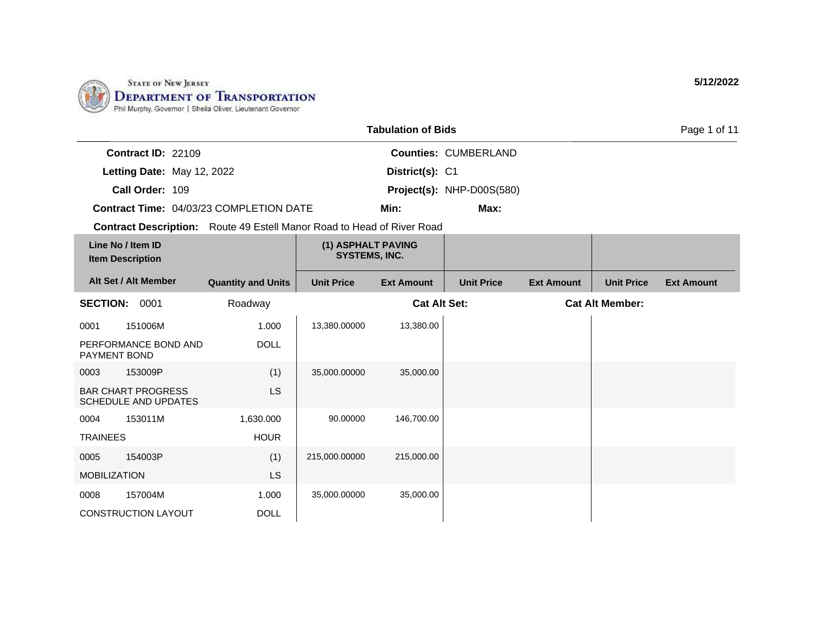

|                      |                                                          |                                                                        |                                            | <b>Tabulation of Bids</b> |                             |                   |                        | Page 1 of 11      |
|----------------------|----------------------------------------------------------|------------------------------------------------------------------------|--------------------------------------------|---------------------------|-----------------------------|-------------------|------------------------|-------------------|
|                      | Contract ID: 22109                                       |                                                                        |                                            |                           | <b>Counties: CUMBERLAND</b> |                   |                        |                   |
|                      | Letting Date: May 12, 2022                               |                                                                        |                                            | District(s): C1           |                             |                   |                        |                   |
|                      | Call Order: 109                                          |                                                                        |                                            |                           | Project(s): NHP-D00S(580)   |                   |                        |                   |
|                      |                                                          | <b>Contract Time: 04/03/23 COMPLETION DATE</b>                         |                                            | Min:                      | Max:                        |                   |                        |                   |
|                      |                                                          | Contract Description: Route 49 Estell Manor Road to Head of River Road |                                            |                           |                             |                   |                        |                   |
|                      | Line No / Item ID<br><b>Item Description</b>             |                                                                        | (1) ASPHALT PAVING<br><b>SYSTEMS, INC.</b> |                           |                             |                   |                        |                   |
|                      | Alt Set / Alt Member                                     | <b>Quantity and Units</b>                                              | <b>Unit Price</b>                          | <b>Ext Amount</b>         | <b>Unit Price</b>           | <b>Ext Amount</b> | <b>Unit Price</b>      | <b>Ext Amount</b> |
| <b>SECTION: 0001</b> |                                                          | Roadway                                                                |                                            | <b>Cat Alt Set:</b>       |                             |                   | <b>Cat Alt Member:</b> |                   |
| 0001                 | 151006M                                                  | 1.000                                                                  | 13,380.00000                               | 13,380.00                 |                             |                   |                        |                   |
| PAYMENT BOND         | PERFORMANCE BOND AND                                     | <b>DOLL</b>                                                            |                                            |                           |                             |                   |                        |                   |
| 0003                 | 153009P                                                  | (1)                                                                    | 35,000.00000                               | 35,000.00                 |                             |                   |                        |                   |
|                      | <b>BAR CHART PROGRESS</b><br><b>SCHEDULE AND UPDATES</b> | LS                                                                     |                                            |                           |                             |                   |                        |                   |
| 0004                 | 153011M                                                  | 1,630.000                                                              | 90.00000                                   | 146,700.00                |                             |                   |                        |                   |
| <b>TRAINEES</b>      |                                                          | <b>HOUR</b>                                                            |                                            |                           |                             |                   |                        |                   |
| 0005                 | 154003P                                                  | (1)                                                                    | 215,000.00000                              | 215,000.00                |                             |                   |                        |                   |
| <b>MOBILIZATION</b>  |                                                          | LS                                                                     |                                            |                           |                             |                   |                        |                   |
| 0008                 | 157004M                                                  | 1.000                                                                  | 35,000.00000                               | 35,000.00                 |                             |                   |                        |                   |
|                      | <b>CONSTRUCTION LAYOUT</b>                               | <b>DOLL</b>                                                            |                                            |                           |                             |                   |                        |                   |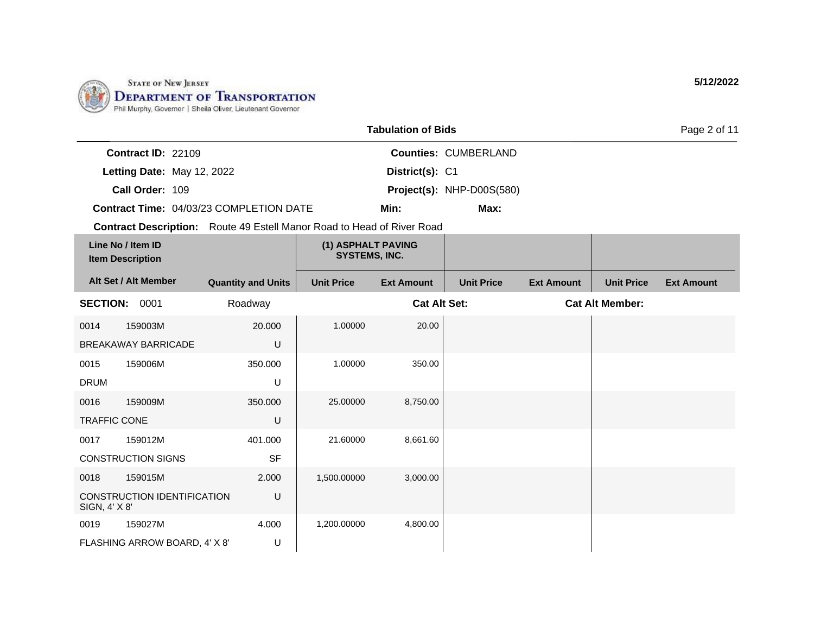

|                     |                                              |                                                                               |                                            | <b>Tabulation of Bids</b> |                             |                   |                        | Page 2 of 11      |
|---------------------|----------------------------------------------|-------------------------------------------------------------------------------|--------------------------------------------|---------------------------|-----------------------------|-------------------|------------------------|-------------------|
|                     | <b>Contract ID: 22109</b>                    |                                                                               |                                            |                           | <b>Counties: CUMBERLAND</b> |                   |                        |                   |
|                     | Letting Date: May 12, 2022                   |                                                                               |                                            | District(s): C1           |                             |                   |                        |                   |
|                     | Call Order: 109                              |                                                                               |                                            |                           | Project(s): NHP-D00S(580)   |                   |                        |                   |
|                     |                                              | Contract Time: 04/03/23 COMPLETION DATE                                       |                                            | Min:                      | Max:                        |                   |                        |                   |
|                     |                                              | <b>Contract Description:</b> Route 49 Estell Manor Road to Head of River Road |                                            |                           |                             |                   |                        |                   |
|                     | Line No / Item ID<br><b>Item Description</b> |                                                                               | (1) ASPHALT PAVING<br><b>SYSTEMS, INC.</b> |                           |                             |                   |                        |                   |
|                     | Alt Set / Alt Member                         | <b>Quantity and Units</b>                                                     | <b>Unit Price</b>                          | <b>Ext Amount</b>         | <b>Unit Price</b>           | <b>Ext Amount</b> | <b>Unit Price</b>      | <b>Ext Amount</b> |
| <b>SECTION:</b>     | 0001                                         | Roadway                                                                       |                                            | <b>Cat Alt Set:</b>       |                             |                   | <b>Cat Alt Member:</b> |                   |
| 0014                | 159003M                                      | 20.000                                                                        | 1.00000                                    | 20.00                     |                             |                   |                        |                   |
|                     | <b>BREAKAWAY BARRICADE</b>                   | U                                                                             |                                            |                           |                             |                   |                        |                   |
| 0015                | 159006M                                      | 350.000                                                                       | 1.00000                                    | 350.00                    |                             |                   |                        |                   |
| <b>DRUM</b>         |                                              | U                                                                             |                                            |                           |                             |                   |                        |                   |
| 0016                | 159009M                                      | 350,000                                                                       | 25.00000                                   | 8,750.00                  |                             |                   |                        |                   |
| <b>TRAFFIC CONE</b> |                                              | U                                                                             |                                            |                           |                             |                   |                        |                   |
| 0017                | 159012M                                      | 401.000                                                                       | 21.60000                                   | 8,661.60                  |                             |                   |                        |                   |
|                     | <b>CONSTRUCTION SIGNS</b>                    | <b>SF</b>                                                                     |                                            |                           |                             |                   |                        |                   |
| 0018                | 159015M                                      | 2.000                                                                         | 1,500.00000                                | 3,000.00                  |                             |                   |                        |                   |
| SIGN, 4' X 8'       | CONSTRUCTION IDENTIFICATION                  | U                                                                             |                                            |                           |                             |                   |                        |                   |
| 0019                | 159027M                                      | 4.000                                                                         | 1,200.00000                                | 4,800.00                  |                             |                   |                        |                   |
|                     | FLASHING ARROW BOARD, 4' X 8'                | U                                                                             |                                            |                           |                             |                   |                        |                   |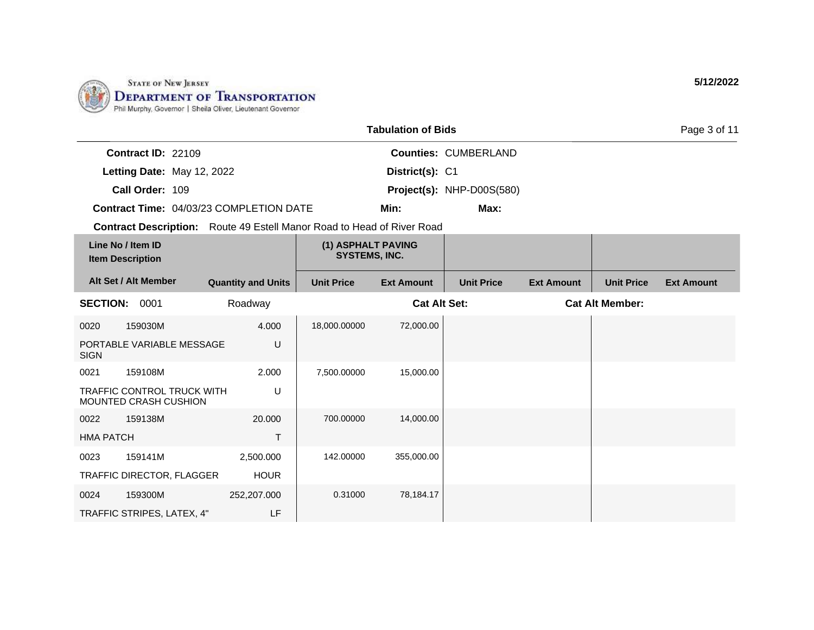

|                                                                               |                           |                                            | <b>Tabulation of Bids</b> |                             |                   |                        | Page 3 of 11      |
|-------------------------------------------------------------------------------|---------------------------|--------------------------------------------|---------------------------|-----------------------------|-------------------|------------------------|-------------------|
| Contract ID: 22109                                                            |                           |                                            |                           | <b>Counties: CUMBERLAND</b> |                   |                        |                   |
| Letting Date: May 12, 2022                                                    |                           |                                            | District(s): C1           |                             |                   |                        |                   |
| Call Order: 109                                                               |                           |                                            |                           | Project(s): NHP-D00S(580)   |                   |                        |                   |
| Contract Time: 04/03/23 COMPLETION DATE                                       |                           |                                            | Min:                      | Max:                        |                   |                        |                   |
| <b>Contract Description:</b> Route 49 Estell Manor Road to Head of River Road |                           |                                            |                           |                             |                   |                        |                   |
| Line No / Item ID<br><b>Item Description</b>                                  |                           | (1) ASPHALT PAVING<br><b>SYSTEMS, INC.</b> |                           |                             |                   |                        |                   |
| Alt Set / Alt Member                                                          | <b>Quantity and Units</b> | <b>Unit Price</b>                          | <b>Ext Amount</b>         | <b>Unit Price</b>           | <b>Ext Amount</b> | <b>Unit Price</b>      | <b>Ext Amount</b> |
| <b>SECTION:</b><br>0001                                                       | Roadway                   |                                            | <b>Cat Alt Set:</b>       |                             |                   | <b>Cat Alt Member:</b> |                   |
| 159030M<br>0020                                                               | 4.000                     | 18,000.00000                               | 72,000.00                 |                             |                   |                        |                   |
| PORTABLE VARIABLE MESSAGE<br><b>SIGN</b>                                      | U                         |                                            |                           |                             |                   |                        |                   |
| 159108M<br>0021                                                               | 2.000                     | 7,500.00000                                | 15,000.00                 |                             |                   |                        |                   |
| TRAFFIC CONTROL TRUCK WITH<br>MOUNTED CRASH CUSHION                           | U                         |                                            |                           |                             |                   |                        |                   |
| 159138M<br>0022                                                               | 20,000                    | 700.00000                                  | 14,000.00                 |                             |                   |                        |                   |
| <b>HMA PATCH</b>                                                              | T.                        |                                            |                           |                             |                   |                        |                   |
| 159141M<br>0023                                                               | 2,500.000                 | 142.00000                                  | 355,000.00                |                             |                   |                        |                   |
| TRAFFIC DIRECTOR, FLAGGER                                                     | <b>HOUR</b>               |                                            |                           |                             |                   |                        |                   |
| 159300M<br>0024                                                               | 252,207.000               | 0.31000                                    | 78,184.17                 |                             |                   |                        |                   |
| TRAFFIC STRIPES, LATEX, 4"                                                    | LF                        |                                            |                           |                             |                   |                        |                   |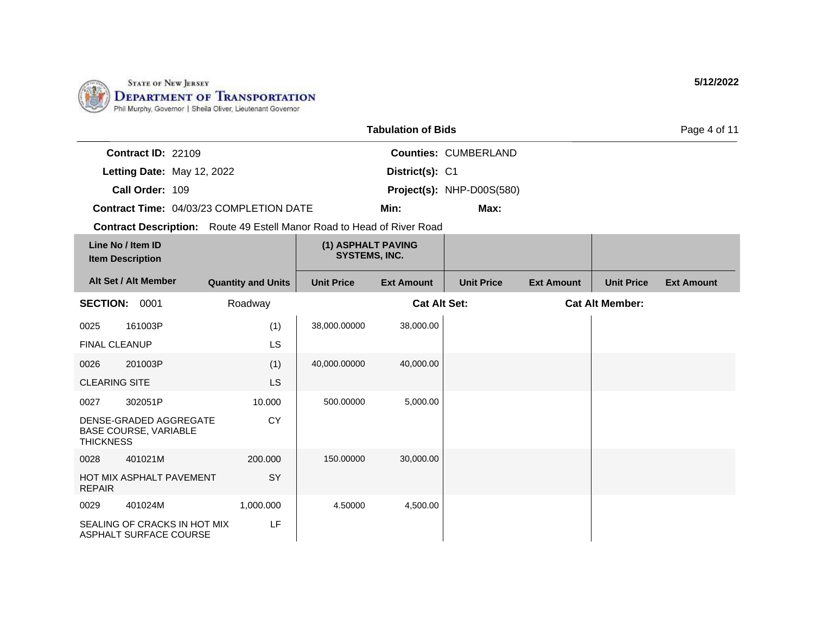

|                      |                                                        |                                                                               |                                            | <b>Tabulation of Bids</b> |                             |                   |                        | Page 4 of 11      |
|----------------------|--------------------------------------------------------|-------------------------------------------------------------------------------|--------------------------------------------|---------------------------|-----------------------------|-------------------|------------------------|-------------------|
|                      | Contract ID: 22109                                     |                                                                               |                                            |                           | <b>Counties: CUMBERLAND</b> |                   |                        |                   |
|                      | Letting Date: May 12, 2022                             |                                                                               |                                            | District(s): C1           |                             |                   |                        |                   |
|                      | Call Order: 109                                        |                                                                               |                                            |                           | Project(s): NHP-D00S(580)   |                   |                        |                   |
|                      |                                                        | <b>Contract Time: 04/03/23 COMPLETION DATE</b>                                |                                            | Min:                      | Max:                        |                   |                        |                   |
|                      |                                                        | <b>Contract Description:</b> Route 49 Estell Manor Road to Head of River Road |                                            |                           |                             |                   |                        |                   |
|                      | Line No / Item ID<br><b>Item Description</b>           |                                                                               | (1) ASPHALT PAVING<br><b>SYSTEMS, INC.</b> |                           |                             |                   |                        |                   |
|                      | Alt Set / Alt Member                                   | <b>Quantity and Units</b>                                                     | <b>Unit Price</b>                          | <b>Ext Amount</b>         | <b>Unit Price</b>           | <b>Ext Amount</b> | <b>Unit Price</b>      | <b>Ext Amount</b> |
| <b>SECTION:</b>      | 0001                                                   | Roadway                                                                       |                                            | <b>Cat Alt Set:</b>       |                             |                   | <b>Cat Alt Member:</b> |                   |
| 0025                 | 161003P                                                | (1)                                                                           | 38,000.00000                               | 38,000.00                 |                             |                   |                        |                   |
| <b>FINAL CLEANUP</b> |                                                        | <b>LS</b>                                                                     |                                            |                           |                             |                   |                        |                   |
| 0026                 | 201003P                                                | (1)                                                                           | 40,000.00000                               | 40,000.00                 |                             |                   |                        |                   |
| <b>CLEARING SITE</b> |                                                        | LS.                                                                           |                                            |                           |                             |                   |                        |                   |
| 0027                 | 302051P                                                | 10.000                                                                        | 500.00000                                  | 5,000.00                  |                             |                   |                        |                   |
| <b>THICKNESS</b>     | DENSE-GRADED AGGREGATE<br><b>BASE COURSE, VARIABLE</b> | <b>CY</b>                                                                     |                                            |                           |                             |                   |                        |                   |
| 0028                 | 401021M                                                | 200,000                                                                       | 150.00000                                  | 30,000.00                 |                             |                   |                        |                   |
| <b>REPAIR</b>        | HOT MIX ASPHALT PAVEMENT                               | SY                                                                            |                                            |                           |                             |                   |                        |                   |
| 0029                 | 401024M                                                | 1,000.000                                                                     | 4.50000                                    | 4,500.00                  |                             |                   |                        |                   |
|                      | SEALING OF CRACKS IN HOT MIX<br>ASPHALT SURFACE COURSE | LF.                                                                           |                                            |                           |                             |                   |                        |                   |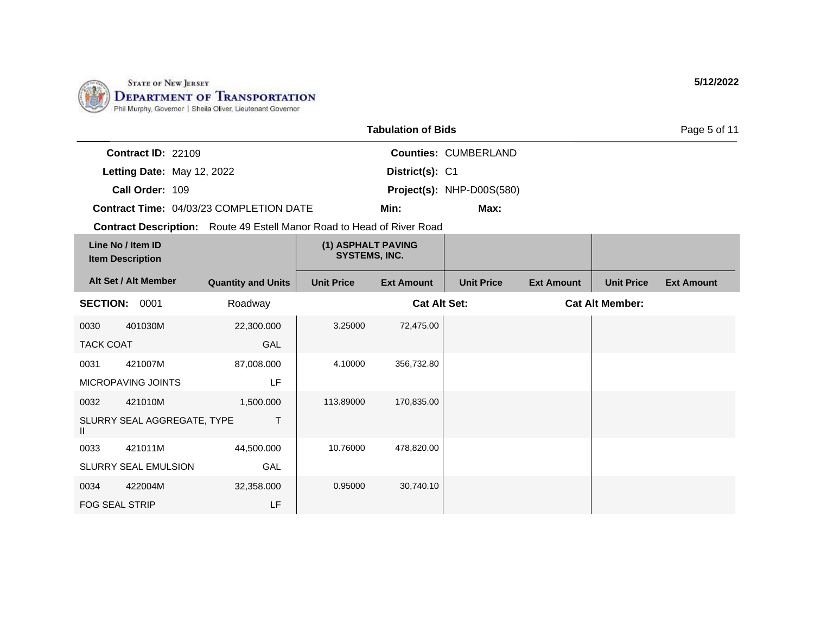

|                                              |                                                                               |                                            | <b>Tabulation of Bids</b> |                             |                   |                        | Page 5 of 11      |
|----------------------------------------------|-------------------------------------------------------------------------------|--------------------------------------------|---------------------------|-----------------------------|-------------------|------------------------|-------------------|
| Contract ID: 22109                           |                                                                               |                                            |                           | <b>Counties: CUMBERLAND</b> |                   |                        |                   |
| Letting Date: May 12, 2022                   |                                                                               |                                            | District(s): C1           |                             |                   |                        |                   |
| Call Order: 109                              |                                                                               |                                            |                           | Project(s): NHP-D00S(580)   |                   |                        |                   |
|                                              | Contract Time: 04/03/23 COMPLETION DATE                                       |                                            | Min:                      | Max:                        |                   |                        |                   |
|                                              | <b>Contract Description:</b> Route 49 Estell Manor Road to Head of River Road |                                            |                           |                             |                   |                        |                   |
| Line No / Item ID<br><b>Item Description</b> |                                                                               | (1) ASPHALT PAVING<br><b>SYSTEMS, INC.</b> |                           |                             |                   |                        |                   |
| Alt Set / Alt Member                         | <b>Quantity and Units</b>                                                     | <b>Unit Price</b>                          | <b>Ext Amount</b>         | <b>Unit Price</b>           | <b>Ext Amount</b> | <b>Unit Price</b>      | <b>Ext Amount</b> |
| <b>SECTION:</b><br>0001                      | Roadway                                                                       |                                            | <b>Cat Alt Set:</b>       |                             |                   | <b>Cat Alt Member:</b> |                   |
| 401030M<br>0030                              | 22,300.000                                                                    | 3.25000                                    | 72,475.00                 |                             |                   |                        |                   |
| <b>TACK COAT</b>                             | GAL                                                                           |                                            |                           |                             |                   |                        |                   |
| 0031<br>421007M                              | 87,008.000                                                                    | 4.10000                                    | 356,732.80                |                             |                   |                        |                   |
| <b>MICROPAVING JOINTS</b>                    | LF                                                                            |                                            |                           |                             |                   |                        |                   |
| 421010M<br>0032                              | 1,500.000                                                                     | 113.89000                                  | 170,835.00                |                             |                   |                        |                   |
| SLURRY SEAL AGGREGATE, TYPE<br>Ш             | T                                                                             |                                            |                           |                             |                   |                        |                   |
| 421011M<br>0033                              | 44,500.000                                                                    | 10.76000                                   | 478,820.00                |                             |                   |                        |                   |
| SLURRY SEAL EMULSION                         | GAL                                                                           |                                            |                           |                             |                   |                        |                   |
| 422004M<br>0034                              | 32,358.000                                                                    | 0.95000                                    | 30,740.10                 |                             |                   |                        |                   |
| <b>FOG SEAL STRIP</b>                        | LF                                                                            |                                            |                           |                             |                   |                        |                   |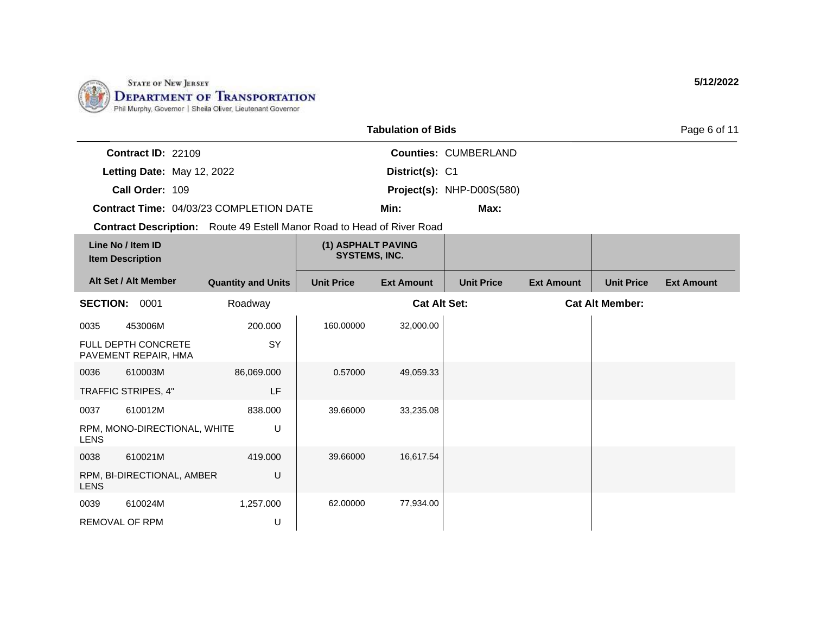

|                       |                                              |                                                                        |                                            | <b>Tabulation of Bids</b> |                             |                   |                        | Page 6 of 11      |
|-----------------------|----------------------------------------------|------------------------------------------------------------------------|--------------------------------------------|---------------------------|-----------------------------|-------------------|------------------------|-------------------|
|                       | Contract ID: 22109                           |                                                                        |                                            |                           | <b>Counties: CUMBERLAND</b> |                   |                        |                   |
|                       | Letting Date: May 12, 2022                   |                                                                        |                                            | District(s): C1           |                             |                   |                        |                   |
|                       | Call Order: 109                              |                                                                        |                                            |                           | Project(s): NHP-D00S(580)   |                   |                        |                   |
|                       |                                              | Contract Time: 04/03/23 COMPLETION DATE                                |                                            | Min:                      | Max:                        |                   |                        |                   |
|                       |                                              | Contract Description: Route 49 Estell Manor Road to Head of River Road |                                            |                           |                             |                   |                        |                   |
|                       | Line No / Item ID<br><b>Item Description</b> |                                                                        | (1) ASPHALT PAVING<br><b>SYSTEMS, INC.</b> |                           |                             |                   |                        |                   |
|                       | Alt Set / Alt Member                         | <b>Quantity and Units</b>                                              | <b>Unit Price</b>                          | <b>Ext Amount</b>         | <b>Unit Price</b>           | <b>Ext Amount</b> | <b>Unit Price</b>      | <b>Ext Amount</b> |
| SECTION: 0001         |                                              | Roadway                                                                |                                            | <b>Cat Alt Set:</b>       |                             |                   | <b>Cat Alt Member:</b> |                   |
| 0035                  | 453006M                                      | 200.000                                                                | 160.00000                                  | 32,000.00                 |                             |                   |                        |                   |
|                       | FULL DEPTH CONCRETE<br>PAVEMENT REPAIR, HMA  | SY                                                                     |                                            |                           |                             |                   |                        |                   |
| 0036                  | 610003M                                      | 86,069.000                                                             | 0.57000                                    | 49,059.33                 |                             |                   |                        |                   |
|                       | TRAFFIC STRIPES, 4"                          | LF                                                                     |                                            |                           |                             |                   |                        |                   |
| 0037                  | 610012M                                      | 838.000                                                                | 39.66000                                   | 33,235.08                 |                             |                   |                        |                   |
| <b>LENS</b>           | RPM, MONO-DIRECTIONAL, WHITE                 | U                                                                      |                                            |                           |                             |                   |                        |                   |
| 0038                  | 610021M                                      | 419.000                                                                | 39.66000                                   | 16,617.54                 |                             |                   |                        |                   |
| <b>LENS</b>           | RPM, BI-DIRECTIONAL, AMBER                   | U                                                                      |                                            |                           |                             |                   |                        |                   |
| 0039                  | 610024M                                      | 1,257.000                                                              | 62.00000                                   | 77,934.00                 |                             |                   |                        |                   |
| <b>REMOVAL OF RPM</b> |                                              | U                                                                      |                                            |                           |                             |                   |                        |                   |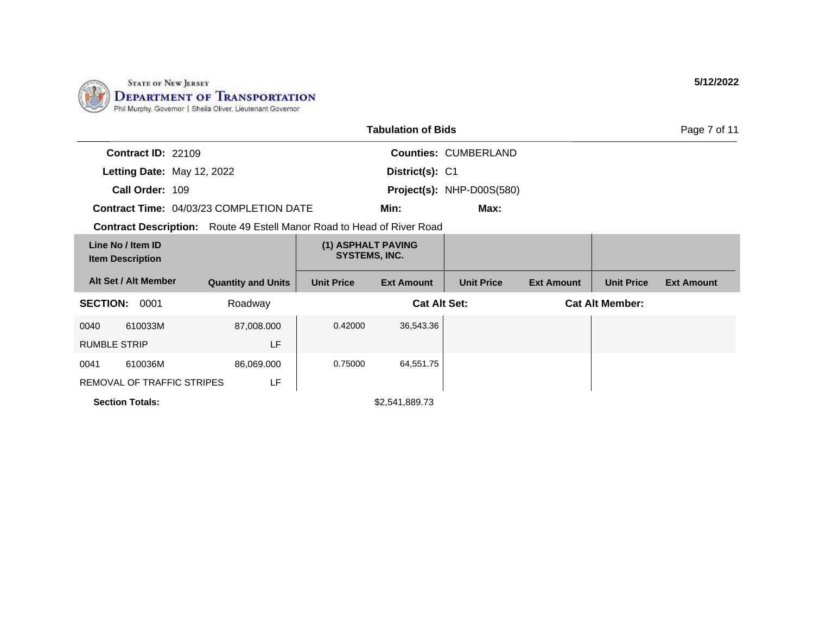

| <b>Tabulation of Bids</b>                    |                            |                                                                               |                                            |                     |                             |                   |                        | Page 7 of 11      |
|----------------------------------------------|----------------------------|-------------------------------------------------------------------------------|--------------------------------------------|---------------------|-----------------------------|-------------------|------------------------|-------------------|
|                                              | Contract ID: 22109         |                                                                               |                                            |                     | <b>Counties: CUMBERLAND</b> |                   |                        |                   |
|                                              | Letting Date: May 12, 2022 |                                                                               |                                            | District(s): C1     |                             |                   |                        |                   |
|                                              | Call Order: 109            |                                                                               |                                            |                     | Project(s): NHP-D00S(580)   |                   |                        |                   |
| Contract Time: 04/03/23 COMPLETION DATE      |                            |                                                                               |                                            | Min:                | Max:                        |                   |                        |                   |
|                                              |                            | <b>Contract Description:</b> Route 49 Estell Manor Road to Head of River Road |                                            |                     |                             |                   |                        |                   |
| Line No / Item ID<br><b>Item Description</b> |                            |                                                                               | (1) ASPHALT PAVING<br><b>SYSTEMS, INC.</b> |                     |                             |                   |                        |                   |
|                                              | Alt Set / Alt Member       | <b>Quantity and Units</b>                                                     | <b>Unit Price</b>                          | <b>Ext Amount</b>   | <b>Unit Price</b>           | <b>Ext Amount</b> | <b>Unit Price</b>      | <b>Ext Amount</b> |
| <b>SECTION:</b>                              | 0001                       | Roadway                                                                       |                                            | <b>Cat Alt Set:</b> |                             |                   | <b>Cat Alt Member:</b> |                   |
| 0040                                         | 610033M                    | 87,008.000                                                                    | 0.42000                                    | 36,543.36           |                             |                   |                        |                   |
| <b>RUMBLE STRIP</b>                          |                            | LF                                                                            |                                            |                     |                             |                   |                        |                   |
| 0041                                         | 610036M                    | 86,069.000                                                                    | 0.75000                                    | 64,551.75           |                             |                   |                        |                   |
|                                              | REMOVAL OF TRAFFIC STRIPES | LF                                                                            |                                            |                     |                             |                   |                        |                   |
|                                              | <b>Section Totals:</b>     |                                                                               |                                            | \$2,541,889.73      |                             |                   |                        |                   |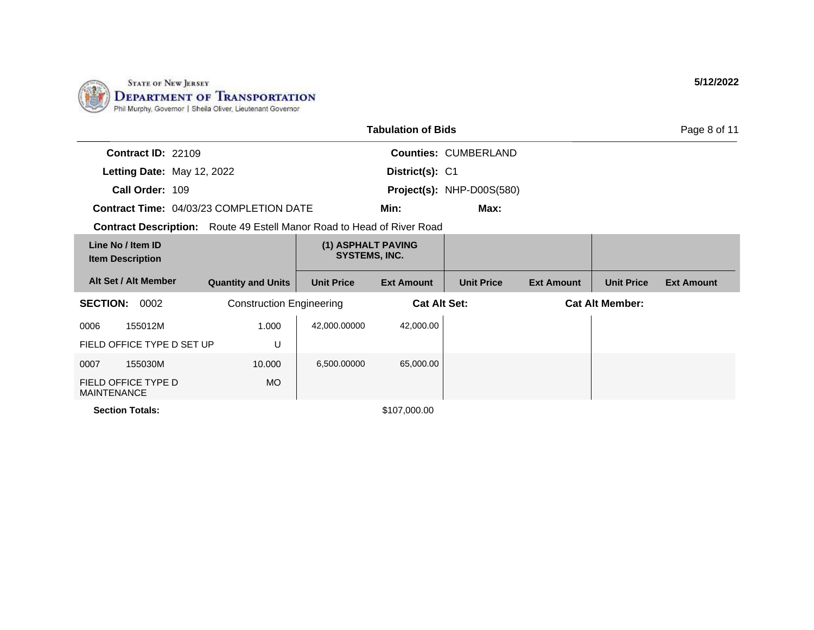

|                                                                               |                                 |                                            | <b>Tabulation of Bids</b> |                             |                   |                        | Page 8 of 11      |
|-------------------------------------------------------------------------------|---------------------------------|--------------------------------------------|---------------------------|-----------------------------|-------------------|------------------------|-------------------|
| <b>Contract ID: 22109</b>                                                     |                                 |                                            |                           | <b>Counties: CUMBERLAND</b> |                   |                        |                   |
| Letting Date: May 12, 2022                                                    |                                 |                                            | District(s): C1           |                             |                   |                        |                   |
| Call Order: 109                                                               |                                 |                                            |                           | Project(s): NHP-D00S(580)   |                   |                        |                   |
| <b>Contract Time: 04/03/23 COMPLETION DATE</b>                                |                                 |                                            | Min:                      | Max:                        |                   |                        |                   |
| <b>Contract Description:</b> Route 49 Estell Manor Road to Head of River Road |                                 |                                            |                           |                             |                   |                        |                   |
| Line No / Item ID<br><b>Item Description</b>                                  |                                 | (1) ASPHALT PAVING<br><b>SYSTEMS, INC.</b> |                           |                             |                   |                        |                   |
| Alt Set / Alt Member                                                          | <b>Quantity and Units</b>       | <b>Unit Price</b>                          | <b>Ext Amount</b>         | <b>Unit Price</b>           | <b>Ext Amount</b> | <b>Unit Price</b>      | <b>Ext Amount</b> |
| <b>SECTION:</b><br>0002                                                       | <b>Construction Engineering</b> |                                            | <b>Cat Alt Set:</b>       |                             |                   | <b>Cat Alt Member:</b> |                   |
| 0006<br>155012M                                                               | 1.000                           | 42,000.00000                               | 42,000.00                 |                             |                   |                        |                   |
| FIELD OFFICE TYPE D SET UP                                                    | U                               |                                            |                           |                             |                   |                        |                   |
| 0007<br>155030M                                                               | 10.000                          | 6,500.00000                                | 65,000.00                 |                             |                   |                        |                   |
| FIELD OFFICE TYPE D<br><b>MAINTENANCE</b>                                     | MO.                             |                                            |                           |                             |                   |                        |                   |
| <b>Section Totals:</b>                                                        |                                 |                                            | \$107,000.00              |                             |                   |                        |                   |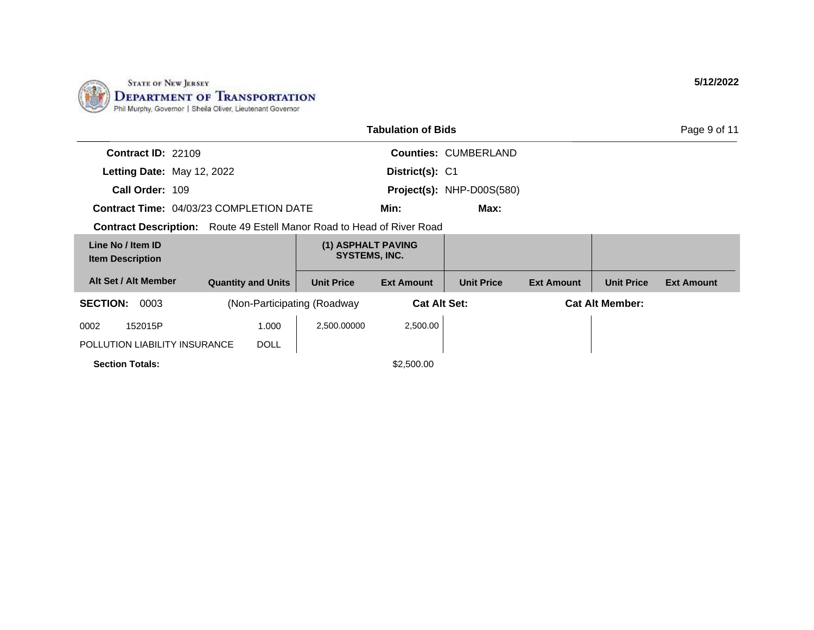

|                                                |                           |                                                  | <b>Tabulation of Bids</b> |                             |                   |                        | Page 9 of 11      |
|------------------------------------------------|---------------------------|--------------------------------------------------|---------------------------|-----------------------------|-------------------|------------------------|-------------------|
| <b>Contract ID: 22109</b>                      |                           |                                                  |                           | <b>Counties: CUMBERLAND</b> |                   |                        |                   |
| Letting Date: May 12, 2022                     |                           |                                                  | District(s): C1           |                             |                   |                        |                   |
| Call Order: 109                                |                           |                                                  |                           | Project(s): NHP-D00S(580)   |                   |                        |                   |
| <b>Contract Time: 04/03/23 COMPLETION DATE</b> |                           |                                                  | Min:                      | Max:                        |                   |                        |                   |
| <b>Contract Description:</b>                   |                           | Route 49 Estell Manor Road to Head of River Road |                           |                             |                   |                        |                   |
| Line No / Item ID<br><b>Item Description</b>   |                           | (1) ASPHALT PAVING<br><b>SYSTEMS, INC.</b>       |                           |                             |                   |                        |                   |
| Alt Set / Alt Member                           | <b>Quantity and Units</b> | <b>Unit Price</b>                                | <b>Ext Amount</b>         | <b>Unit Price</b>           | <b>Ext Amount</b> | <b>Unit Price</b>      | <b>Ext Amount</b> |
| <b>SECTION:</b><br>0003                        |                           | (Non-Participating (Roadway)                     | <b>Cat Alt Set:</b>       |                             |                   | <b>Cat Alt Member:</b> |                   |
| 0002<br>152015P                                | 1.000                     | 2,500.00000                                      | 2,500.00                  |                             |                   |                        |                   |
| POLLUTION LIABILITY INSURANCE                  | <b>DOLL</b>               |                                                  |                           |                             |                   |                        |                   |
| <b>Section Totals:</b>                         |                           |                                                  | \$2,500.00                |                             |                   |                        |                   |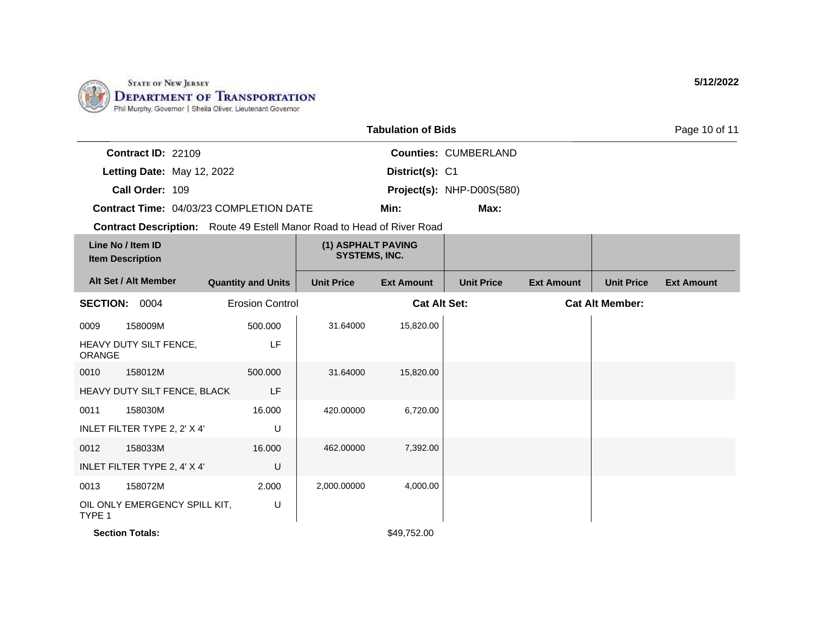

|                                                                               |                           |                                            | <b>Tabulation of Bids</b> |                             |                   |                        | Page 10 of 11     |
|-------------------------------------------------------------------------------|---------------------------|--------------------------------------------|---------------------------|-----------------------------|-------------------|------------------------|-------------------|
| Contract ID: 22109                                                            |                           |                                            |                           | <b>Counties: CUMBERLAND</b> |                   |                        |                   |
| Letting Date: May 12, 2022                                                    |                           |                                            | District(s): C1           |                             |                   |                        |                   |
| Call Order: 109                                                               |                           |                                            |                           | Project(s): NHP-D00S(580)   |                   |                        |                   |
| Contract Time: 04/03/23 COMPLETION DATE                                       |                           |                                            | Min:                      | Max:                        |                   |                        |                   |
| <b>Contract Description:</b> Route 49 Estell Manor Road to Head of River Road |                           |                                            |                           |                             |                   |                        |                   |
| Line No / Item ID<br><b>Item Description</b>                                  |                           | (1) ASPHALT PAVING<br><b>SYSTEMS, INC.</b> |                           |                             |                   |                        |                   |
| Alt Set / Alt Member                                                          | <b>Quantity and Units</b> | <b>Unit Price</b>                          | <b>Ext Amount</b>         | <b>Unit Price</b>           | <b>Ext Amount</b> | <b>Unit Price</b>      | <b>Ext Amount</b> |
| SECTION: 0004                                                                 | <b>Erosion Control</b>    |                                            | <b>Cat Alt Set:</b>       |                             |                   | <b>Cat Alt Member:</b> |                   |
| 158009M<br>0009                                                               | 500.000                   | 31.64000                                   | 15,820.00                 |                             |                   |                        |                   |
| HEAVY DUTY SILT FENCE,<br><b>ORANGE</b>                                       | <b>LF</b>                 |                                            |                           |                             |                   |                        |                   |
| 158012M<br>0010                                                               | 500.000                   | 31.64000                                   | 15,820.00                 |                             |                   |                        |                   |
| HEAVY DUTY SILT FENCE, BLACK                                                  | LF                        |                                            |                           |                             |                   |                        |                   |
| 158030M<br>0011                                                               | 16.000                    | 420.00000                                  | 6,720.00                  |                             |                   |                        |                   |
| INLET FILTER TYPE 2, 2' X 4'                                                  | U                         |                                            |                           |                             |                   |                        |                   |
| 158033M<br>0012                                                               | 16.000                    | 462.00000                                  | 7,392.00                  |                             |                   |                        |                   |
| INLET FILTER TYPE 2, 4' X 4'                                                  | U                         |                                            |                           |                             |                   |                        |                   |
| 158072M<br>0013                                                               | 2.000                     | 2,000.00000                                | 4,000.00                  |                             |                   |                        |                   |
| OIL ONLY EMERGENCY SPILL KIT,<br>TYPE 1                                       | U                         |                                            |                           |                             |                   |                        |                   |
| <b>Section Totals:</b>                                                        |                           |                                            | \$49,752.00               |                             |                   |                        |                   |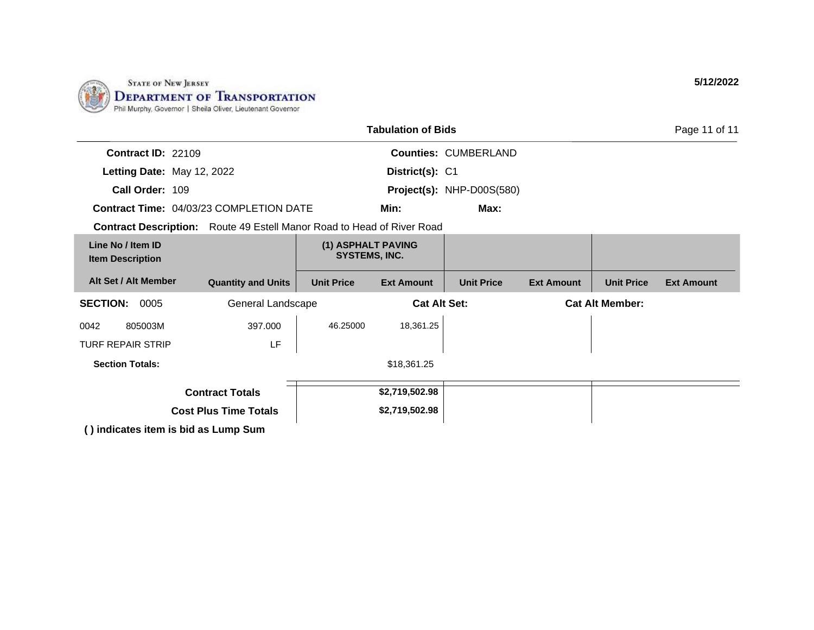

|                                              |                                                                               |                                     | <b>Tabulation of Bids</b> |                             |                        |                   | Page 11 of 11     |
|----------------------------------------------|-------------------------------------------------------------------------------|-------------------------------------|---------------------------|-----------------------------|------------------------|-------------------|-------------------|
| Contract ID: 22109                           |                                                                               |                                     |                           | <b>Counties: CUMBERLAND</b> |                        |                   |                   |
| Letting Date: May 12, 2022                   |                                                                               |                                     | District(s): C1           |                             |                        |                   |                   |
| Call Order: 109                              |                                                                               |                                     |                           | Project(s): NHP-D00S(580)   |                        |                   |                   |
|                                              | <b>Contract Time: 04/03/23 COMPLETION DATE</b>                                |                                     | Min:                      | Max:                        |                        |                   |                   |
|                                              | <b>Contract Description:</b> Route 49 Estell Manor Road to Head of River Road |                                     |                           |                             |                        |                   |                   |
| Line No / Item ID<br><b>Item Description</b> |                                                                               | (1) ASPHALT PAVING<br>SYSTEMS, INC. |                           |                             |                        |                   |                   |
| Alt Set / Alt Member                         | <b>Quantity and Units</b>                                                     | <b>Unit Price</b>                   | <b>Ext Amount</b>         | <b>Unit Price</b>           | <b>Ext Amount</b>      | <b>Unit Price</b> | <b>Ext Amount</b> |
| <b>SECTION:</b><br>0005                      | General Landscape                                                             | <b>Cat Alt Set:</b>                 |                           |                             | <b>Cat Alt Member:</b> |                   |                   |
| 0042<br>805003M                              | 397.000                                                                       | 46.25000                            | 18,361.25                 |                             |                        |                   |                   |
| <b>TURF REPAIR STRIP</b>                     | LF                                                                            |                                     |                           |                             |                        |                   |                   |
| <b>Section Totals:</b>                       |                                                                               |                                     | \$18,361.25               |                             |                        |                   |                   |
|                                              | <b>Contract Totals</b>                                                        |                                     | \$2,719,502.98            |                             |                        |                   |                   |
|                                              | <b>Cost Plus Time Totals</b>                                                  |                                     | \$2,719,502.98            |                             |                        |                   |                   |
|                                              | () indicates item is bid as Lump Sum                                          |                                     |                           |                             |                        |                   |                   |